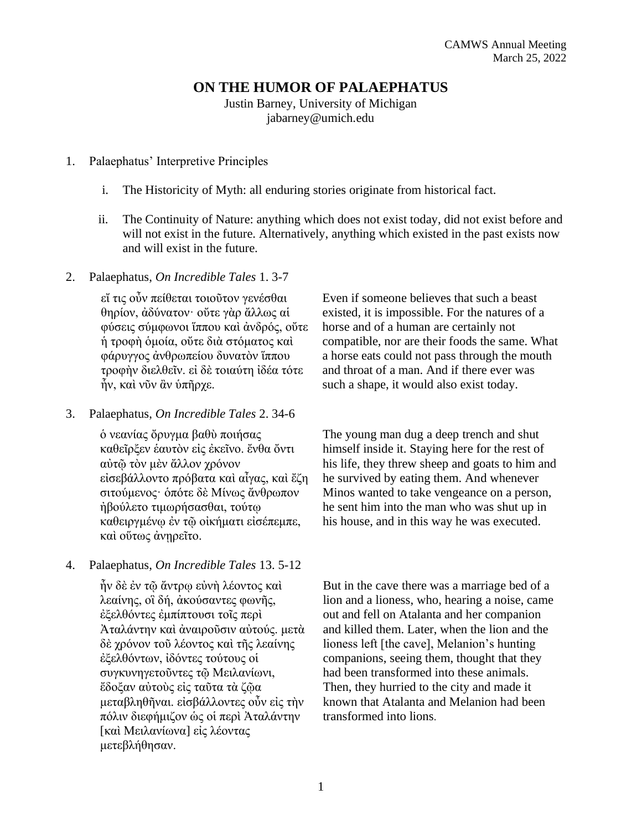# **ON THE HUMOR OF PALAEPHATUS**

Justin Barney, University of Michigan jabarney@umich.edu

## 1. Palaephatus' Interpretive Principles

- i. The Historicity of Myth: all enduring stories originate from historical fact.
- ii. The Continuity of Nature: anything which does not exist today, did not exist before and will not exist in the future. Alternatively, anything which existed in the past exists now and will exist in the future.

#### 2. Palaephatus, *On Incredible Tales* 1. 3-7

εἴ τις οὖν πείθεται τοιοῦτον γενέσθαι θηρίον, ἀδύνατον· οὔτε γὰρ ἄλλως αἱ φύσεις σύμφωνοι ἵππου καὶ ἀνδρός, οὔτε ἡ τροφὴ ὁμοία, οὔτε διὰ στόματος καὶ φάρυγγος ἀνθρωπείου δυνατὸν ἵππου τροφὴν διελθεῖν. εἰ δὲ τοιαύτη ἰδέα τότε ἦν, καὶ νῦν ἂν ὑπῆρχε.

### 3. Palaephatus, *On Incredible Tales* 2. 34-6

ὁ νεανίας ὄρυγμα βαθὺ ποιήσας καθεῖρξεν ἑαυτὸν εἰς ἐκεῖνο. ἔνθα ὄντι αὐτῷ τὸν μὲν ἄλλον χρόνον εἰσεβάλλοντο πρόβατα καὶ αἶγας, καὶ ἔζη σιτούμενος· ὁπότε δὲ Μίνως ἄνθρωπον ήβούλετο τιμωρήσασθαι, τούτω καθειργμένῳ ἐν τῷ οἰκήματι εἰσέπεμπε, καὶ οὕτως ἀνῃρεῖτο.

## 4. Palaephatus, *On Incredible Tales* 13. 5-12

ἦν δὲ ἐν τῷ ἄντρῳ εὐνὴ λέοντος καὶ λεαίνης, οἳ δή, ἀκούσαντες φωνῆς, ἐξελθόντες ἐμπίπτουσι τοῖς περὶ Ἀταλάντην καὶ ἀναιροῦσιν αὐτούς. μετὰ δὲ χρόνον τοῦ λέοντος καὶ τῆς λεαίνης ἐξελθόντων, ἰδόντες τούτους οἱ συγκυνηγετοῦντες τῷ Μειλανίωνι, ἔδοξαν αὐτοὺς εἰς ταῦτα τὰ ζῷα μεταβληθῆναι. εἰσβάλλοντες οὖν εἰς τὴν πόλιν διεφήμιζον ὡς οἱ περὶ Ἀταλάντην [\[κ](http://stephanus.tlg.uci.edu.proxy.lib.umich.edu/help/BetaManual/online/SB.html)αὶ Μειλανίων[α\]](http://stephanus.tlg.uci.edu.proxy.lib.umich.edu/help/BetaManual/online/SB.html) εἰς λέοντας μετεβλήθησαν.

Even if someone believes that such a beast existed, it is impossible. For the natures of a horse and of a human are certainly not compatible, nor are their foods the same. What a horse eats could not pass through the mouth and throat of a man. And if there ever was such a shape, it would also exist today.

The young man dug a deep trench and shut himself inside it. Staying here for the rest of his life, they threw sheep and goats to him and he survived by eating them. And whenever Minos wanted to take vengeance on a person, he sent him into the man who was shut up in his house, and in this way he was executed.

But in the cave there was a marriage bed of a lion and a lioness, who, hearing a noise, came out and fell on Atalanta and her companion and killed them. Later, when the lion and the lioness left [the cave], Melanion's hunting companions, seeing them, thought that they had been transformed into these animals. Then, they hurried to the city and made it known that Atalanta and Melanion had been transformed into lions.